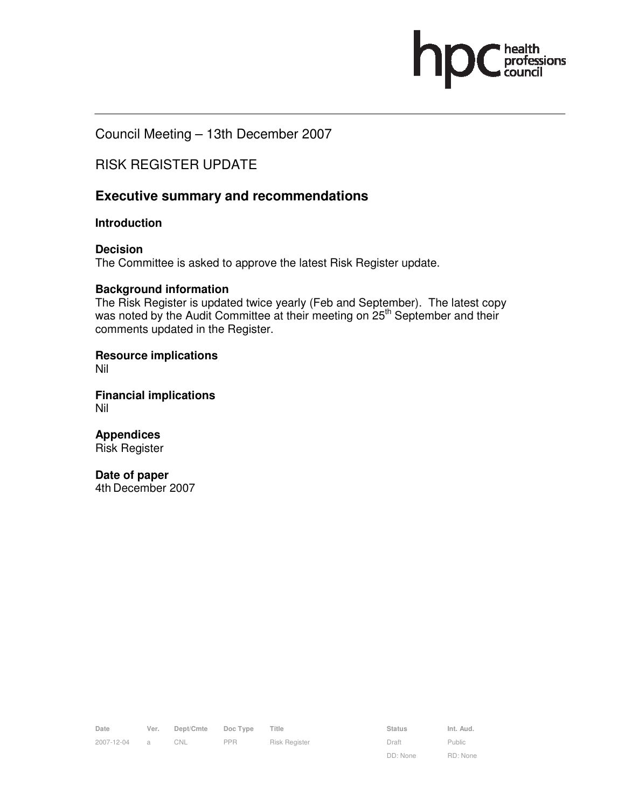Council Meeting – 13th December 2007

# RISK REGISTER UPDATE

# **Executive summary and recommendations**

## **Introduction**

**Decision**  The Committee is asked to approve the latest Risk Register update.

## **Background information**

The Risk Register is updated twice yearly (Feb and September). The latest copy was noted by the Audit Committee at their meeting on 25<sup>th</sup> September and their comments updated in the Register.

**Resource implications**  Nil

**Financial implications**  Nil

**Appendices**  Risk Register

**Date of paper**  4th December 2007

| Date       | Ver.           | Dept/Cmte Doc Type Title |            |               | <b>Status</b> | Int. Aud. |
|------------|----------------|--------------------------|------------|---------------|---------------|-----------|
| 2007-12-04 | $\overline{a}$ | CNL                      | <b>PPR</b> | Risk Register | Draft         | Public    |

DD: None

Public RD: None ofessions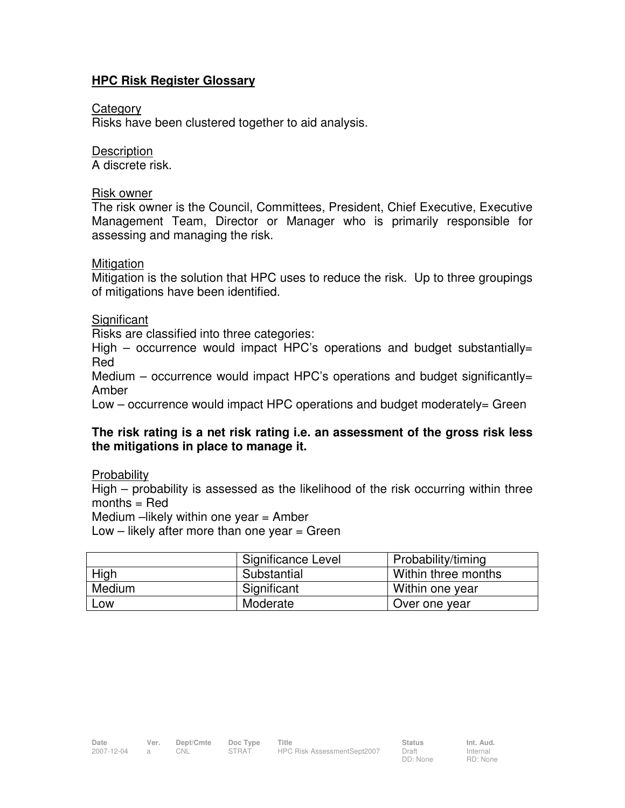# **HPC Risk Register Glossary**

## Category

Risks have been clustered together to aid analysis.

# **Description**

A discrete risk.

# Risk owner

The risk owner is the Council, Committees, President, Chief Executive, Executive Management Team, Director or Manager who is primarily responsible for assessing and managing the risk.

## **Mitigation**

Mitigation is the solution that HPC uses to reduce the risk. Up to three groupings of mitigations have been identified.

# Significant

Risks are classified into three categories:

High  $-$  occurrence would impact HPC's operations and budget substantially= Red

Medium – occurrence would impact HPC's operations and budget significantly= Amber

Low – occurrence would impact HPC operations and budget moderately= Green

# **The risk rating is a net risk rating i.e. an assessment of the gross risk less the mitigations in place to manage it.**

Probability

High – probability is assessed as the likelihood of the risk occurring within three months = Red

Medium  $-$ likely within one year  $=$  Amber

Low – likely after more than one year = Green

|        | Significance Level | Probability/timing  |
|--------|--------------------|---------------------|
| High   | Substantial        | Within three months |
| Medium | Significant        | Within one year     |
| LOW    | Moderate           | Over one year       |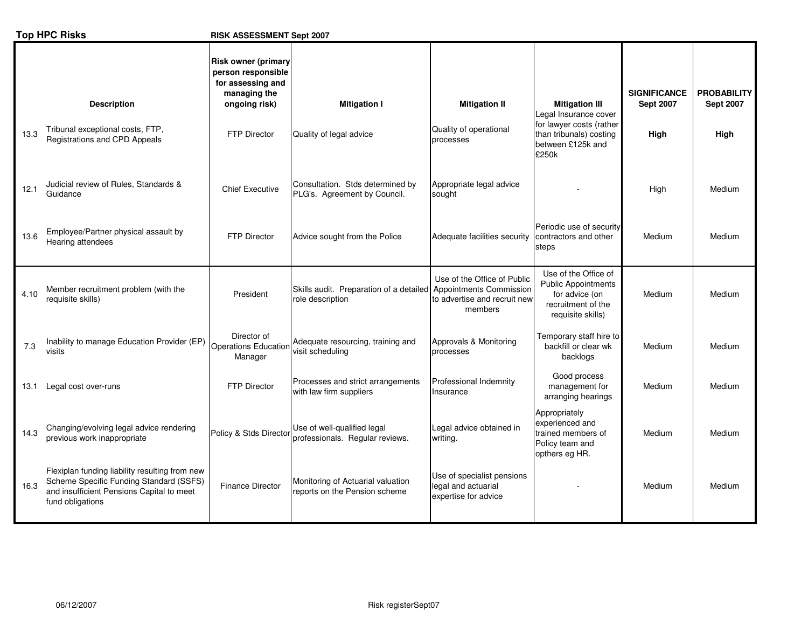|      | <b>Top HPC Risks</b>                                                                                                                                       | RISK ASSESSMENT Sept 2007                                                                              |                                                                                     |                                                                           |                                                                                                                 |                                         |                                        |
|------|------------------------------------------------------------------------------------------------------------------------------------------------------------|--------------------------------------------------------------------------------------------------------|-------------------------------------------------------------------------------------|---------------------------------------------------------------------------|-----------------------------------------------------------------------------------------------------------------|-----------------------------------------|----------------------------------------|
|      | <b>Description</b><br>Tribunal exceptional costs, FTP,                                                                                                     | <b>Risk owner (primary</b><br>person responsible<br>for assessing and<br>managing the<br>ongoing risk) | <b>Mitigation I</b>                                                                 | <b>Mitigation II</b><br>Quality of operational                            | <b>Mitigation III</b><br>Legal Insurance cover<br>for lawyer costs (rather                                      | <b>SIGNIFICANCE</b><br><b>Sept 2007</b> | <b>PROBABILITY</b><br><b>Sept 2007</b> |
| 13.3 | Registrations and CPD Appeals                                                                                                                              | <b>FTP Director</b>                                                                                    | Quality of legal advice                                                             | processes                                                                 | than tribunals) costing<br>between £125k and<br>£250k                                                           | High                                    | High                                   |
| 12.1 | Judicial review of Rules, Standards &<br>Guidance                                                                                                          | <b>Chief Executive</b>                                                                                 | Consultation. Stds determined by<br>PLG's. Agreement by Council.                    | Appropriate legal advice<br>sought                                        |                                                                                                                 | High                                    | Medium                                 |
| 13.6 | Employee/Partner physical assault by<br>Hearing attendees                                                                                                  | <b>FTP Director</b>                                                                                    | Advice sought from the Police                                                       | Adequate facilities security                                              | Periodic use of security<br>contractors and other<br>steps                                                      | Medium                                  | Medium                                 |
| 4.10 | Member recruitment problem (with the<br>requisite skills)                                                                                                  | President                                                                                              | Skills audit. Preparation of a detailed Appointments Commission<br>role description | Use of the Office of Public<br>to advertise and recruit new<br>members    | Use of the Office of<br><b>Public Appointments</b><br>for advice (on<br>recruitment of the<br>requisite skills) | Medium                                  | Medium                                 |
| 7.3  | Inability to manage Education Provider (EP)<br>visits                                                                                                      | Director of<br><b>Operations Education</b><br>Manager                                                  | Adequate resourcing, training and<br>visit scheduling                               | Approvals & Monitoring<br>processes                                       | Temporary staff hire to<br>backfill or clear wk<br>backlogs                                                     | Medium                                  | Medium                                 |
| 13.1 | Legal cost over-runs                                                                                                                                       | FTP Director                                                                                           | Processes and strict arrangements<br>with law firm suppliers                        | Professional Indemnity<br>Insurance                                       | Good process<br>management for<br>arranging hearings                                                            | Medium                                  | Medium                                 |
| 14.3 | Changing/evolving legal advice rendering<br>previous work inappropriate                                                                                    | Policy & Stds Director                                                                                 | Use of well-qualified legal<br>professionals. Regular reviews.                      | Legal advice obtained in<br>writing.                                      | Appropriately<br>experienced and<br>trained members of<br>Policy team and<br>opthers eg HR.                     | Medium                                  | Medium                                 |
| 16.3 | Flexiplan funding liability resulting from new<br>Scheme Specific Funding Standard (SSFS)<br>and insufficient Pensions Capital to meet<br>fund obligations | <b>Finance Director</b>                                                                                | Monitoring of Actuarial valuation<br>reports on the Pension scheme                  | Use of specialist pensions<br>legal and actuarial<br>expertise for advice |                                                                                                                 | Medium                                  | Medium                                 |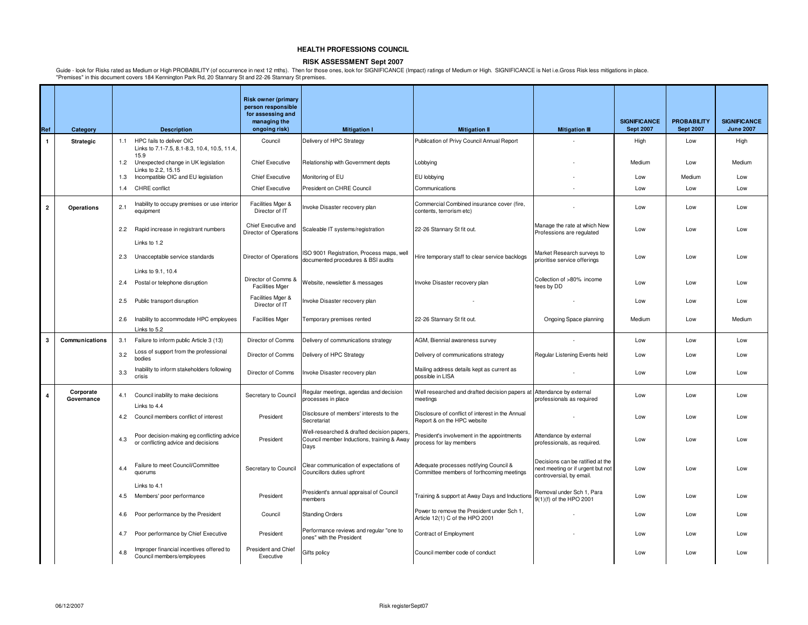### **RISK ASSESSMENT Sept 2007**

|                |                         |     |                                                                                   | <b>Risk owner (primary</b><br>person responsible<br>for assessing and |                                                                                                  |                                                                                     |                                                                                                   |                                         |                                        |                                         |
|----------------|-------------------------|-----|-----------------------------------------------------------------------------------|-----------------------------------------------------------------------|--------------------------------------------------------------------------------------------------|-------------------------------------------------------------------------------------|---------------------------------------------------------------------------------------------------|-----------------------------------------|----------------------------------------|-----------------------------------------|
| Ref            | Category                |     | <b>Description</b>                                                                | managing the<br>ongoing risk)                                         | <b>Mitigation I</b>                                                                              | <b>Mitigation II</b>                                                                | <b>Mitigation III</b>                                                                             | <b>SIGNIFICANCE</b><br><b>Sept 2007</b> | <b>PROBABILITY</b><br><b>Sept 2007</b> | <b>SIGNIFICANCE</b><br><b>June 2007</b> |
| $\mathbf{1}$   | <b>Strategic</b>        |     | 1.1 HPC fails to deliver OIC<br>Links to 7.1-7.5, 8.1-8.3, 10.4, 10.5, 11.4,      | Council                                                               | Delivery of HPC Strategy                                                                         | Publication of Privy Council Annual Report                                          |                                                                                                   | High                                    | Low                                    | High                                    |
|                |                         | 1.2 | 15.9<br>Unexpected change in UK legislation<br>Links to 2.2, 15.15                | <b>Chief Executive</b>                                                | Relationship with Government depts                                                               | Lobbying                                                                            |                                                                                                   | Medium                                  | Low                                    | Medium                                  |
|                |                         | 1.3 | Incompatible OIC and EU legislation                                               | <b>Chief Executive</b>                                                | Monitoring of EU                                                                                 | EU lobbying                                                                         |                                                                                                   | Low                                     | Medium                                 | Low                                     |
|                |                         | 1.4 | <b>CHRE</b> conflict                                                              | <b>Chief Executive</b>                                                | President on CHRE Council                                                                        | Communications                                                                      |                                                                                                   | Low                                     | Low                                    | Low                                     |
| $\overline{2}$ | Operations              | 2.1 | Inability to occupy premises or use interior<br>equipment                         | Facilities Mger &<br>Director of IT                                   | Invoke Disaster recovery plan                                                                    | Commercial Combined insurance cover (fire,<br>contents, terrorism etc)              |                                                                                                   | Low                                     | Low                                    | Low                                     |
|                |                         |     | 2.2 Rapid increase in registrant numbers                                          | Chief Executive and<br>Director of Operations                         | Scaleable IT systems/registration                                                                | 22-26 Stannary St fit out.                                                          | Manage the rate at which New<br>Professions are regulated                                         | Low                                     | Low                                    | Low                                     |
|                |                         |     | Links to 1.2                                                                      |                                                                       |                                                                                                  |                                                                                     |                                                                                                   |                                         |                                        |                                         |
|                |                         | 2.3 | Unacceptable service standards                                                    | Director of Operations                                                | ISO 9001 Registration, Process maps, well<br>documented procedures & BSI audits                  | Hire temporary staff to clear service backlogs                                      | Market Research surveys to<br>prioritise service offerings                                        | Low                                     | Low                                    | Low                                     |
|                |                         | 2.4 | Links to 9.1, 10.4<br>Postal or telephone disruption                              | Director of Comms &<br><b>Facilities Mger</b>                         | Website, newsletter & messages                                                                   | Invoke Disaster recovery plan                                                       | Collection of >80% income<br>fees by DD                                                           | Low                                     | Low                                    | Low                                     |
|                |                         | 2.5 | Public transport disruption                                                       | Facilities Mger &<br>Director of IT                                   | Invoke Disaster recovery plan                                                                    |                                                                                     |                                                                                                   | Low                                     | Low                                    | Low                                     |
|                |                         |     |                                                                                   |                                                                       |                                                                                                  |                                                                                     |                                                                                                   |                                         |                                        |                                         |
|                |                         | 2.6 | Inability to accommodate HPC employees<br>Links to 5.2                            | <b>Facilities Mger</b>                                                | Temporary premises rented                                                                        | 22-26 Stannary St fit out.                                                          | Ongoing Space planning                                                                            | Medium                                  | Low                                    | Medium                                  |
| 3              | Communications          | 3.1 | Failure to inform public Article 3 (13)                                           | Director of Comms                                                     | Delivery of communications strategy                                                              | AGM, Biennial awareness survey                                                      |                                                                                                   | Low                                     | Low                                    | Low                                     |
|                |                         | 3.2 | Loss of support from the professional<br>bodies                                   | Director of Comms                                                     | Delivery of HPC Strategy                                                                         | Delivery of communications strategy                                                 | Regular Listening Events held                                                                     | Low                                     | Low                                    | Low                                     |
|                |                         | 3.3 | Inability to inform stakeholders following<br>crisis                              | Director of Comms                                                     | Invoke Disaster recovery plan                                                                    | Mailing address details kept as current as<br>possible in LISA                      |                                                                                                   | Low                                     | Low                                    | Low                                     |
| 4              | Corporate<br>Governance |     | 4.1 Council inability to make decisions<br>Links to 4.4                           | Secretary to Council                                                  | Regular meetings, agendas and decision<br>processes in place                                     | Well researched and drafted decision papers at Attendance by external<br>meetings   | professionals as required                                                                         | Low                                     | Low                                    | Low                                     |
|                |                         | 4.2 | Council members conflict of interest                                              | President                                                             | Disclosure of members' interests to the<br>Secretariat                                           | Disclosure of conflict of interest in the Annual<br>Report & on the HPC website     |                                                                                                   | Low                                     | Low                                    | Low                                     |
|                |                         | 4.3 | Poor decision-making eg conflicting advice<br>or conflicting advice and decisions | President                                                             | Well-researched & drafted decision papers,<br>Council member Inductions, training & Away<br>Days | President's involvement in the appointments<br>process for lay members              | Attendance by external<br>professionals, as required.                                             | Low                                     | Low                                    | Low                                     |
|                |                         | 4.4 | Failure to meet Council/Committee<br>quorums                                      | Secretary to Council                                                  | Clear communication of expectations of<br>Councillors duties upfront                             | Adequate processes notifying Council &<br>Committee members of forthcoming meetings | Decisions can be ratified at the<br>next meeting or if urgent but not<br>controversial, by email. | Low                                     | Low                                    | Low                                     |
|                |                         |     | Links to 4.1                                                                      |                                                                       | President's annual appraisal of Council                                                          |                                                                                     | Removal under Sch 1, Para                                                                         |                                         |                                        |                                         |
|                |                         | 4.5 | Members' poor performance                                                         | President                                                             | members                                                                                          | Training & support at Away Days and Inductions                                      | 9(1)(f) of the HPO 2001                                                                           | Low                                     | Low                                    | Low                                     |
|                |                         | 4.6 | Poor performance by the President                                                 | Council                                                               | <b>Standing Orders</b>                                                                           | Power to remove the President under Sch 1,<br>Article 12(1) C of the HPO 2001       |                                                                                                   | Low                                     | Low                                    | Low                                     |
|                |                         | 4.7 | Poor performance by Chief Executive                                               | President                                                             | Performance reviews and regular "one to<br>ones" with the President                              | Contract of Employment                                                              |                                                                                                   | Low                                     | Low                                    | Low                                     |
|                |                         | 4.8 | Improper financial incentives offered to<br>Council members/employees             | <b>President and Chief</b><br>Executive                               | Gifts policy                                                                                     | Council member code of conduct                                                      |                                                                                                   | Low                                     | Low                                    | Low                                     |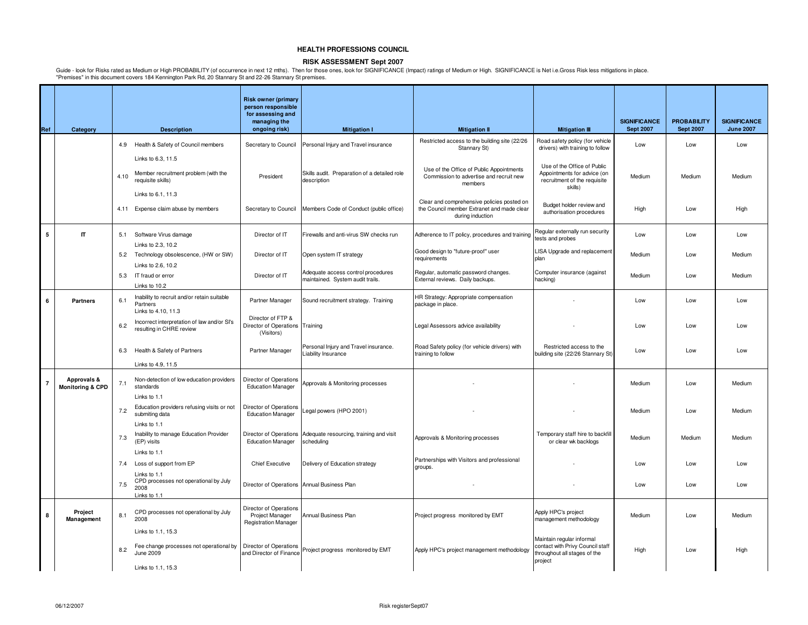### **RISK ASSESSMENT Sept 2007**

|                |                                            |      |                                                                                                  | <b>Risk owner (primary</b><br>person responsible                                |                                                                        |                                                                                                |                                                                                                          |                                         |                                        |                                         |
|----------------|--------------------------------------------|------|--------------------------------------------------------------------------------------------------|---------------------------------------------------------------------------------|------------------------------------------------------------------------|------------------------------------------------------------------------------------------------|----------------------------------------------------------------------------------------------------------|-----------------------------------------|----------------------------------------|-----------------------------------------|
| Ref            | Category                                   |      | <b>Description</b>                                                                               | for assessing and<br>managing the<br>ongoing risk)                              | <b>Mitigation I</b>                                                    | <b>Mitigation II</b>                                                                           | <b>Mitigation III</b>                                                                                    | <b>SIGNIFICANCE</b><br><b>Sept 2007</b> | <b>PROBABILITY</b><br><b>Sept 2007</b> | <b>SIGNIFICANCE</b><br><b>June 2007</b> |
|                |                                            |      | 4.9 Health & Safety of Council members                                                           | Secretary to Council                                                            | Personal Injury and Travel insurance                                   | Restricted access to the building site (22/26                                                  | Road safety policy (for vehicle                                                                          | Low                                     | Low                                    | Low                                     |
|                |                                            |      | Links to 6.3, 11.5                                                                               |                                                                                 |                                                                        | Stannary St)                                                                                   | drivers) with training to follow                                                                         |                                         |                                        |                                         |
|                |                                            | 4.10 | Member recruitment problem (with the<br>requisite skills)                                        | President                                                                       | Skills audit. Preparation of a detailed role<br>description            | Use of the Office of Public Appointments<br>Commission to advertise and recruit new<br>members | Use of the Office of Public<br>Appointments for advice (on<br>recruitment of the requisite<br>skills)    | Medium                                  | Medium                                 | Medium                                  |
|                |                                            |      | Links to 6.1, 11.3                                                                               |                                                                                 |                                                                        | Clear and comprehensive policies posted on                                                     |                                                                                                          |                                         |                                        |                                         |
|                |                                            |      | 4.11 Expense claim abuse by members                                                              | Secretary to Council                                                            | Members Code of Conduct (public office)                                | the Council member Extranet and made clear<br>during induction                                 | Budget holder review and<br>authorisation procedures                                                     | High                                    | Low                                    | High                                    |
| 5              | $\mathbf{r}$                               |      | 5.1 Software Virus damage                                                                        | Director of IT                                                                  | Firewalls and anti-virus SW checks run                                 | Adherence to IT policy, procedures and training                                                | Regular externally run security<br>tests and probes                                                      | Low                                     | Low                                    | Low                                     |
|                |                                            |      | Links to 2.3, 10.2<br>5.2 Technology obsolescence, (HW or SW)                                    | Director of IT                                                                  | Open system IT strategy                                                | Good design to "future-proof" user<br>requirements                                             | LISA Upgrade and replacement<br>plan                                                                     | Medium                                  | Low                                    | Medium                                  |
|                |                                            |      | Links to 2.6, 10.2<br>5.3 IT fraud or error                                                      | Director of IT                                                                  | Adequate access control procedures<br>maintained. System audit trails. | Regular, automatic password changes.<br>External reviews. Daily backups.                       | Computer insurance (against<br>hacking)                                                                  | Medium                                  | Low                                    | Medium                                  |
|                |                                            |      | Links to 10.2                                                                                    |                                                                                 |                                                                        |                                                                                                |                                                                                                          |                                         |                                        |                                         |
| 6              | <b>Partners</b>                            | 6.1  | Inability to recruit and/or retain suitable<br>Partners<br>Links to 4.10, 11.3                   | Partner Manager                                                                 | Sound recruitment strategy. Training                                   | HR Strategy: Appropriate compensation<br>package in place.                                     |                                                                                                          | Low                                     | Low                                    | Low                                     |
|                |                                            | 6.2  | Incorrect interpretation of law and/or SI's<br>resulting in CHRE review                          | Director of FTP &<br>Director of Operations Training<br>(Visitors)              |                                                                        | Legal Assessors advice availability                                                            |                                                                                                          | Low                                     | Low                                    | Low                                     |
|                |                                            | 6.3  | Health & Safety of Partners                                                                      | Partner Manager                                                                 | Personal Injury and Travel insurance.<br>Liability Insurance           | Road Safety policy (for vehicle drivers) with<br>training to follow                            | Restricted access to the<br>building site (22/26 Stannary St)                                            | Low                                     | Low                                    | Low                                     |
|                |                                            |      | Links to 4.9, 11.5                                                                               |                                                                                 |                                                                        |                                                                                                |                                                                                                          |                                         |                                        |                                         |
| $\overline{7}$ | Approvals &<br><b>Monitoring &amp; CPD</b> | 7.1  | Non-detection of low education providers<br>standards                                            | Director of Operations<br><b>Education Manager</b>                              | Approvals & Monitoring processes                                       |                                                                                                |                                                                                                          | Medium                                  | Low                                    | Medium                                  |
|                |                                            |      | Links to 1.1                                                                                     |                                                                                 |                                                                        |                                                                                                |                                                                                                          |                                         |                                        |                                         |
|                |                                            | 7.2  | Education providers refusing visits or not<br>submiting data                                     | Director of Operations<br><b>Education Manager</b>                              | Legal powers (HPO 2001)                                                |                                                                                                |                                                                                                          | Medium                                  | Low                                    | Medium                                  |
|                |                                            | 7.3  | Links to 1.1<br>Inability to manage Education Provider<br>(EP) visits                            | Director of Operations<br><b>Education Manager</b>                              | Adequate resourcing, training and visit<br>scheduling                  | Approvals & Monitoring processes                                                               | Temporary staff hire to backfill<br>or clear wk backlogs                                                 | Medium                                  | Medium                                 | Medium                                  |
|                |                                            |      | Links to 1.1                                                                                     |                                                                                 |                                                                        | Partnerships with Visitors and professional                                                    |                                                                                                          |                                         |                                        |                                         |
|                |                                            | 7.4  | Loss of support from EP                                                                          | <b>Chief Executive</b>                                                          | Delivery of Education strategy                                         | groups.                                                                                        |                                                                                                          | Low                                     | Low                                    | Low                                     |
|                |                                            | 7.5  | Links to 1.1<br>CPD processes not operational by July<br>2008<br>Links to 1.1                    | Director of Operations Annual Business Plan                                     |                                                                        |                                                                                                |                                                                                                          | Low                                     | Low                                    | Low                                     |
| 8              | Project<br>Management                      | 8.1  | CPD processes not operational by July<br>2008                                                    | <b>Director of Operations</b><br>Project Manager<br><b>Registration Manager</b> | Annual Business Plan                                                   | Project progress monitored by EMT                                                              | Apply HPC's project<br>management methodology                                                            | Medium                                  | Low                                    | Medium                                  |
|                |                                            | 8.2  | Links to 1.1, 15.3<br>Fee change processes not operational by<br>June 2009<br>Links to 1.1, 15.3 | Director of Operations<br>and Director of Finance                               | Project progress monitored by EMT                                      | Apply HPC's project management methodology                                                     | Maintain regular informal<br>contact with Privy Council staff<br>throughout all stages of the<br>project | High                                    | Low                                    | High                                    |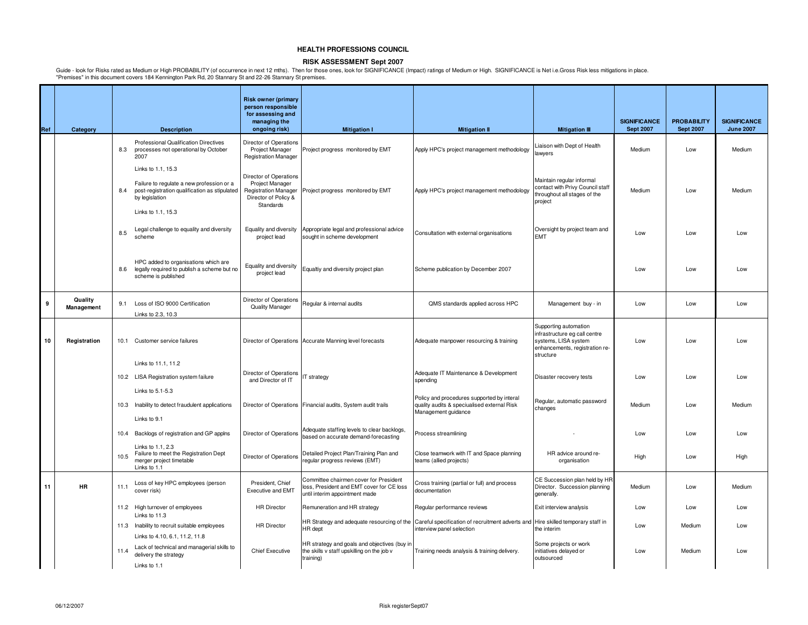### **RISK ASSESSMENT Sept 2007**

Guide - look for Risks rated as Medium or High PROBABILITY (of occurrence in next 12 mths). Then for those ones, look for SIGNIFICANCE (Impact) ratings of Medium or High. SIGNIFICANCE is Net i.e.Gross Risk less mitigations

|     |                       |      |                                                                                                                                                          | <b>Risk owner (primary</b><br>person responsible<br>for assessing and<br>managing the                         |                                                                                                                       |                                                                                                                                                          |                                                                                                                               | <b>SIGNIFICANCE</b> | <b>PROBABILITY</b> | <b>SIGNIFICANCE</b> |
|-----|-----------------------|------|----------------------------------------------------------------------------------------------------------------------------------------------------------|---------------------------------------------------------------------------------------------------------------|-----------------------------------------------------------------------------------------------------------------------|----------------------------------------------------------------------------------------------------------------------------------------------------------|-------------------------------------------------------------------------------------------------------------------------------|---------------------|--------------------|---------------------|
| Ref | Category              |      | <b>Description</b>                                                                                                                                       | ongoing risk)                                                                                                 | <b>Mitigation I</b>                                                                                                   | <b>Mitigation II</b>                                                                                                                                     | <b>Mitigation III</b>                                                                                                         | <b>Sept 2007</b>    | <b>Sept 2007</b>   | <b>June 2007</b>    |
|     |                       | 8.3  | Professional Qualification Directives<br>processes not operational by October<br>2007                                                                    | Director of Operations<br><b>Project Manager</b><br><b>Registration Manager</b>                               | Project progress monitored by EMT                                                                                     | Apply HPC's project management methodology                                                                                                               | Liaison with Dept of Health<br>awyers                                                                                         | Medium              | Low                | Medium              |
|     |                       | 8.4  | Links to 1.1, 15.3<br>Failure to regulate a new profession or a<br>post-registration qualification as stipulated<br>by legislation<br>Links to 1.1, 15.3 | Director of Operations<br>Project Manager<br><b>Registration Manager</b><br>Director of Policy &<br>Standards | Project progress monitored by EMT                                                                                     | Apply HPC's project management methodology                                                                                                               | Maintain regular informal<br>contact with Privy Council staff<br>throughout all stages of the<br>project                      | Medium              | Low                | Medium              |
|     |                       | 8.5  | Legal challenge to equality and diversity<br>scheme                                                                                                      | Equality and diversity<br>project lead                                                                        | Appropriate legal and professional advice<br>sought in scheme development                                             | Consultation with external organisations                                                                                                                 | Oversight by project team and<br><b>EMT</b>                                                                                   | Low                 | Low                | Low                 |
|     |                       | 8.6  | HPC added to organisations which are<br>legally required to publish a scheme but no<br>scheme is published                                               | Equality and diversity<br>project lead                                                                        | Equaltiy and diversity project plan                                                                                   | Scheme publication by December 2007                                                                                                                      |                                                                                                                               | Low                 | Low                | Low                 |
| 9   | Quality<br>Management |      | 9.1 Loss of ISO 9000 Certification<br>Links to 2.3, 10.3                                                                                                 | Director of Operations<br>Quality Manager                                                                     | Regular & internal audits                                                                                             | QMS standards applied across HPC                                                                                                                         | Management buy - in                                                                                                           | Low                 | Low                | Low                 |
| 10  | Registration          |      | 10.1 Customer service failures                                                                                                                           |                                                                                                               | Director of Operations Accurate Manning level forecasts                                                               | Adequate manpower resourcing & training                                                                                                                  | Supporting automation<br>infrastructure eg call centre<br>systems, LISA system<br>enhancements, registration re-<br>structure | Low                 | Low                | Low                 |
|     |                       |      | Links to 11.1.11.2<br>10.2 LISA Registration system failure<br>Links to 5.1-5.3                                                                          | Director of Operations<br>and Director of IT                                                                  | IT strategy                                                                                                           | Adequate IT Maintenance & Development<br>spending                                                                                                        | Disaster recovery tests                                                                                                       | Low                 | Low                | Low                 |
|     |                       |      | 10.3 Inability to detect fraudulent applications<br>Links to 9.1                                                                                         |                                                                                                               | Director of Operations Financial audits, System audit trails                                                          | Policy and procedures supported by interal<br>quality audits & speciualised external Risk<br>Management guidance                                         | Regular, automatic password<br>changes                                                                                        | Medium              | Low                | Medium              |
|     |                       |      | 10.4 Backlogs of registration and GP applns                                                                                                              | Director of Operations                                                                                        | Adequate staffing levels to clear backlogs,<br>based on accurate demand-forecasting                                   | Process streamlining                                                                                                                                     |                                                                                                                               | Low                 | Low                | Low                 |
|     |                       | 10.5 | Links to 1.1, 2.3<br>Failure to meet the Registration Dept<br>merger project timetable<br>Links to 1.1                                                   | Director of Operations                                                                                        | Detailed Project Plan/Training Plan and<br>regular progress reviews (EMT)                                             | Close teamwork with IT and Space planning<br>teams (allied projects)                                                                                     | HR advice around re-<br>organisation                                                                                          | High                | Low                | High                |
| 11  | <b>HR</b>             | 11.1 | Loss of key HPC employees (person<br>cover risk)                                                                                                         | President, Chief<br><b>Executive and EMT</b>                                                                  | Committee chairmen cover for President<br>loss, President and EMT cover for CE loss<br>until interim appointment made | Cross training (partial or full) and process<br>documentation                                                                                            | CE Succession plan held by HR<br>Director. Succession planning<br>generally.                                                  | Medium              | Low                | Medium              |
|     |                       |      | 11.2 High turnover of employees                                                                                                                          | <b>HR</b> Director                                                                                            | Remuneration and HR strategy                                                                                          | Regular performance reviews                                                                                                                              | Exit interview analysis                                                                                                       | Low                 | Low                | Low                 |
|     |                       |      | Links to 11.3<br>11.3 Inability to recruit suitable employees                                                                                            | <b>HR Director</b>                                                                                            | HR dept                                                                                                               | HR Strategy and adequate resourcing of the Careful specification of recruitment adverts and Hire skilled temporary staff in<br>interview panel selection | the interim                                                                                                                   | Low                 | Medium             | Low                 |
|     |                       | 11.4 | Links to 4.10, 6.1, 11.2, 11.8<br>Lack of technical and managerial skills to<br>delivery the strategy<br>Links to 1.1                                    | <b>Chief Executive</b>                                                                                        | HR strategy and goals and objectives (buy in<br>the skills v staff upskilling on the job v<br>training)               | Training needs analysis & training delivery.                                                                                                             | Some projects or work<br>initiatives delayed or<br>outsourced                                                                 | Low                 | Medium             | Low                 |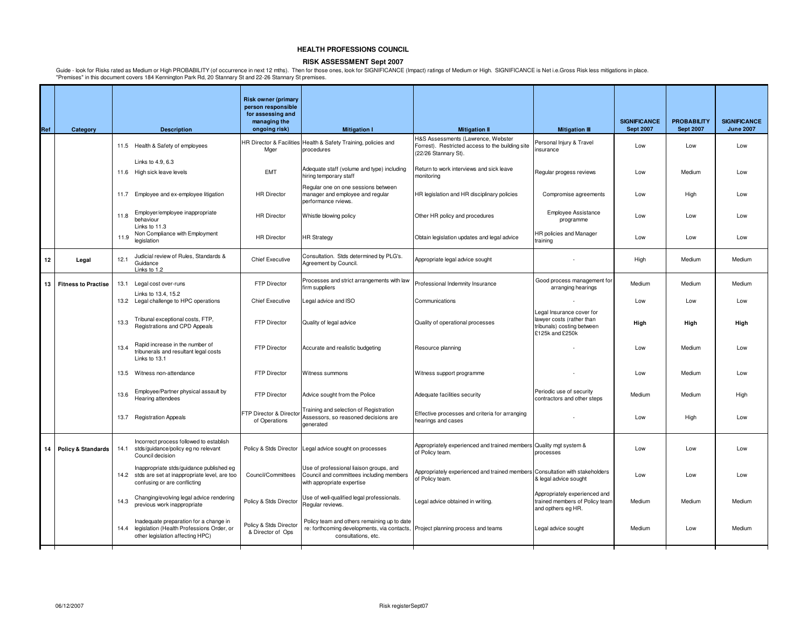### **RISK ASSESSMENT Sept 2007**

|     |                               |      |                                                                                                                               | <b>Risk owner (primary</b><br>person responsible<br>for assessing and<br>managing the |                                                                                                                   |                                                                                                                           |                                                                                                         | <b>SIGNIFICANCE</b> | <b>PROBABILITY</b> | <b>SIGNIFICANCE</b> |
|-----|-------------------------------|------|-------------------------------------------------------------------------------------------------------------------------------|---------------------------------------------------------------------------------------|-------------------------------------------------------------------------------------------------------------------|---------------------------------------------------------------------------------------------------------------------------|---------------------------------------------------------------------------------------------------------|---------------------|--------------------|---------------------|
| Ref | Category                      |      | <b>Description</b>                                                                                                            | ongoing risk)                                                                         | <b>Mitigation I</b>                                                                                               | <b>Mitigation II</b>                                                                                                      | <b>Mitigation III</b>                                                                                   | <b>Sept 2007</b>    | <b>Sept 2007</b>   | <b>June 2007</b>    |
|     |                               |      | 11.5 Health & Safety of employees                                                                                             | <b>HR Director &amp; Facilities</b><br>Mger                                           | Health & Safety Training, policies and<br>procedures                                                              | <b>1&amp;S Assessments (Lawrence, Webster</b><br>Forrest). Restricted access to the building site<br>(22/26 Stannary St). | Personal Injury & Travel<br>nsurance                                                                    | Low                 | Low                | Low                 |
|     |                               |      | Links to 4.9, 6.3<br>11.6 High sick leave levels                                                                              | <b>EMT</b>                                                                            | Adequate staff (volume and type) including<br>hiring temporary staff                                              | Return to work interviews and sick leave<br>monitoring                                                                    | Regular progess reviews                                                                                 | Low                 | Medium             | Low                 |
|     |                               |      | 11.7 Employee and ex-employee litigation                                                                                      | <b>HR Director</b>                                                                    | Regular one on one sessions between<br>manager and employee and regular<br>performance rviews.                    | HR legislation and HR disciplinary policies                                                                               | Compromise agreements                                                                                   | Low                 | High               | Low                 |
|     |                               | 11.8 | Employer/employee inappropriate<br>behaviour<br>Links to 11.3                                                                 | <b>HR</b> Director                                                                    | Whistle blowing policy                                                                                            | Other HR policy and procedures                                                                                            | <b>Employee Assistance</b><br>programme                                                                 | Low                 | Low                | Low                 |
|     |                               | 11.9 | Non Compliance with Employment<br>legislation                                                                                 | <b>HR Director</b>                                                                    | <b>HR Strategy</b>                                                                                                | Obtain legislation updates and legal advice                                                                               | HR policies and Manager<br>training                                                                     | Low                 | Low                | Low                 |
| 12  | Legal                         | 12.1 | Judicial review of Rules, Standards &<br>Guidance<br>Links to 1.2                                                             | <b>Chief Executive</b>                                                                | Consultation. Stds determined by PLG's.<br>Agreement by Council.                                                  | Appropriate legal advice sought                                                                                           |                                                                                                         | High                | Medium             | Medium              |
| 13  | <b>Fitness to Practise</b>    |      | 13.1 Legal cost over-runs                                                                                                     | FTP Director                                                                          | Processes and strict arrangements with law<br>firm suppliers                                                      | Professional Indemnity Insurance                                                                                          | Good process management for<br>arranging hearings                                                       | Medium              | Medium             | Medium              |
|     |                               |      | Links to 13.4, 15.2<br>13.2 Legal challenge to HPC operations                                                                 | <b>Chief Executive</b>                                                                | Legal advice and ISO                                                                                              | Communications                                                                                                            |                                                                                                         | Low                 | Low                | Low                 |
|     |                               | 13.3 | Tribunal exceptional costs, FTP,<br>Registrations and CPD Appeals                                                             | <b>FTP Director</b>                                                                   | Quality of legal advice                                                                                           | Quality of operational processes                                                                                          | Legal Insurance cover for<br>lawyer costs (rather than<br>tribunals) costing between<br>£125k and £250k | High                | High               | High                |
|     |                               | 13.4 | Rapid increase in the number of<br>tribunerals and resultant legal costs<br>Links to 13.1                                     | FTP Director                                                                          | Accurate and realistic budgeting                                                                                  | Resource planning                                                                                                         |                                                                                                         | Low                 | Medium             | Low                 |
|     |                               |      | 13.5 Witness non-attendance                                                                                                   | <b>FTP Director</b>                                                                   | Witness summons                                                                                                   | Witness support programme                                                                                                 |                                                                                                         | Low                 | Medium             | Low                 |
|     |                               | 13.6 | Employee/Partner physical assault by<br>Hearing attendees                                                                     | FTP Director                                                                          | Advice sought from the Police                                                                                     | Adequate facilities security                                                                                              | Periodic use of security<br>contractors and other steps                                                 | Medium              | Medium             | High                |
|     |                               |      | 13.7 Registration Appeals                                                                                                     | FTP Director & Directo<br>of Operations                                               | Training and selection of Registration<br>Assessors, so reasoned decisions are<br>denerated                       | Effective processes and criteria for arranging<br>hearings and cases                                                      |                                                                                                         | Low                 | High               | Low                 |
| 14  | <b>Policy &amp; Standards</b> |      | Incorrect process followed to establish<br>14.1 stds/guidance/policy eg no relevant<br>Council decision                       | Policy & Stds Director                                                                | Legal advice sought on processes                                                                                  | Appropriately experienced and trained members Quality mgt system &<br>of Policy team.                                     | processes                                                                                               | Low                 | Low                | Low                 |
|     |                               |      | Inappropriate stds/guidance published eg<br>14.2 stds are set at inappropriate level, are too<br>confusing or are conflicting | Council/Committees                                                                    | Use of professional liaison groups, and<br>Council and committees including members<br>with appropriate expertise | Appropriately experienced and trained members Consultation with stakeholders<br>of Policy team.                           | & legal advice sought                                                                                   | Low                 | Low                | Low                 |
|     |                               | 14.3 | Changing/evolving legal advice rendering<br>previous work inappropriate                                                       | Policy & Stds Director                                                                | Use of well-qualified legal professionals.<br>Regular reviews.                                                    | Legal advice obtained in writing.                                                                                         | Appropriately experienced and<br>trained members of Policy team<br>and opthers eg HR.                   | Medium              | Medium             | Medium              |
|     |                               |      | Inadequate preparation for a change in<br>14.4 legislation (Health Professions Order, or<br>other legislation affecting HPC)  | Policy & Stds Director<br>& Director of Ops                                           | Policy team and others remaining up to date<br>re: forthcoming developments, via contacts,<br>consultations, etc. | Project planning process and teams                                                                                        | Legal advice sought                                                                                     | Medium              | Low                | Medium              |
|     |                               |      |                                                                                                                               |                                                                                       |                                                                                                                   |                                                                                                                           |                                                                                                         |                     |                    |                     |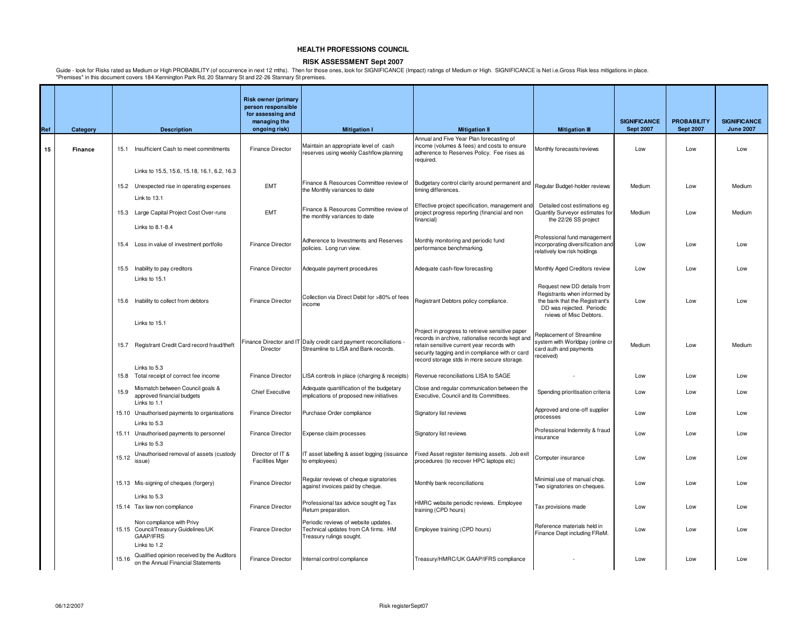### **RISK ASSESSMENT Sept 2007**

|     |          |       |                                                                                                | <b>Risk owner (primary</b><br>person responsible<br>for assessing and<br>managing the |                                                                                                             |                                                                                                                                                                                                                                                     |                                                                                                                                                       | <b>SIGNIFICANCE</b> | <b>PROBABILITY</b> | <b>SIGNIFICANCE</b> |
|-----|----------|-------|------------------------------------------------------------------------------------------------|---------------------------------------------------------------------------------------|-------------------------------------------------------------------------------------------------------------|-----------------------------------------------------------------------------------------------------------------------------------------------------------------------------------------------------------------------------------------------------|-------------------------------------------------------------------------------------------------------------------------------------------------------|---------------------|--------------------|---------------------|
| Ref | Category |       | <b>Description</b>                                                                             | ongoing risk)                                                                         | <b>Mitigation I</b>                                                                                         | <b>Mitigation II</b>                                                                                                                                                                                                                                | <b>Mitigation III</b>                                                                                                                                 | <b>Sept 2007</b>    | <b>Sept 2007</b>   | <b>June 2007</b>    |
| 15  | Finance  |       | 15.1 Insufficient Cash to meet commitments                                                     | <b>Finance Director</b>                                                               | Maintain an appropriate level of cash<br>reserves using weekly Cashflow planning                            | Annual and Five Year Plan forecasting of<br>income (volumes & fees) and costs to ensure<br>adherence to Reserves Policy. Fee rises as<br>required.                                                                                                  | Monthly forecasts/reviews                                                                                                                             | Low                 | Low                | Low                 |
|     |          |       | Links to 15.5, 15.6, 15.18, 16.1, 6.2, 16.3                                                    |                                                                                       |                                                                                                             |                                                                                                                                                                                                                                                     |                                                                                                                                                       |                     |                    |                     |
|     |          |       | 15.2 Unexpected rise in operating expenses<br>Link to 13.1                                     | <b>EMT</b>                                                                            | Finance & Resources Committee review of<br>the Monthly variances to date                                    | Budgetary control clarity around permanent and<br>timing differences.                                                                                                                                                                               | Regular Budget-holder reviews                                                                                                                         | Medium              | Low                | Medium              |
|     |          |       | 15.3 Large Capital Project Cost Over-runs<br>Links to 8.1-8.4                                  | <b>EMT</b>                                                                            | Finance & Resources Committee review of<br>the monthly variances to date                                    | Effective project specification, management and<br>project progress reporting (financial and non<br>financial)                                                                                                                                      | Detailed cost estimations eg<br>Quantity Surveyor estimates for<br>the 22/26 SS project                                                               | Medium              | Low                | Medium              |
|     |          |       | 15.4 Loss in value of investment portfolio                                                     | <b>Finance Director</b>                                                               | Adherence to Investments and Reserves<br>policies. Long run view.                                           | Monthly monitoring and periodic fund<br>performance benchmarking.                                                                                                                                                                                   | Professional fund management<br>incorporating diversification and<br>relatively low risk holdings                                                     | Low                 | Low                | Low                 |
|     |          |       | 15.5 Inability to pay creditors<br>Links to 15.1                                               | <b>Finance Director</b>                                                               | Adequate payment procedures                                                                                 | Adequate cash-flow forecasting                                                                                                                                                                                                                      | Monthly Aged Creditors review                                                                                                                         | Low                 | Low                | Low                 |
|     |          |       | 15.6 Inability to collect from debtors                                                         | Finance Director                                                                      | Collection via Direct Debit for >80% of fees<br>income                                                      | Registrant Debtors policy compliance.                                                                                                                                                                                                               | Request new DD details from<br>Registrants when informed by<br>the bank that the Registrant's<br>DD was rejected. Periodic<br>rviews of Misc Debtors. | Low                 | Low                | Low                 |
|     |          |       | Links to 15.1<br>15.7 Registrant Credit Card record fraud/theft                                | Director                                                                              | Finance Director and IT Daily credit card payment reconciliations -<br>Streamline to LISA and Bank records. | Project in progress to retrieve sensitive paper<br>records in archive, rationalise records kept and<br>retain sensitive current year records with<br>security tagging and in compliance with cr card<br>record storage stds in more secure storage. | Replacement of Streamline<br>system with Worldpay (online cr<br>card auth and payments<br>received)                                                   | Medium              | Low                | Medium              |
|     |          |       | Links to 5.3<br>15.8 Total receipt of correct fee income                                       | <b>Finance Director</b>                                                               | LISA controls in place (charging & receipts)                                                                | Revenue reconciliations LISA to SAGE                                                                                                                                                                                                                |                                                                                                                                                       | Low                 | Low                | Low                 |
|     |          | 15.9  | Mismatch between Council goals &<br>approved financial budgets<br>Links to 1.1                 | <b>Chief Executive</b>                                                                | Adequate quantification of the budgetary<br>implications of proposed new initiatives                        | Close and regular communication between the<br>Executive, Council and its Committees.                                                                                                                                                               | Spending prioritisation criteria                                                                                                                      | Low                 | Low                | Low                 |
|     |          |       | 15.10 Unauthorised payments to organisations<br>Links to 5.3                                   | <b>Finance Director</b>                                                               | Purchase Order compliance                                                                                   | Signatory list reviews                                                                                                                                                                                                                              | Approved and one-off supplier<br>processes                                                                                                            | Low                 | Low                | Low                 |
|     |          |       | 15.11 Unauthorised payments to personnel<br>Links to 5.3                                       | <b>Finance Director</b>                                                               | Expense claim processes                                                                                     | Signatory list reviews                                                                                                                                                                                                                              | Professional Indemnity & fraud<br>insurance                                                                                                           | Low                 | Low                | Low                 |
|     |          |       | 15.12 Unauthorised removal of assets (custody<br>issue)                                        | Director of IT &<br><b>Facilities Mger</b>                                            | IT asset labelling & asset logging (issuance<br>to employees)                                               | Fixed Asset register itemising assets. Job exit<br>procedures (to recover HPC laptops etc)                                                                                                                                                          | Computer insurance                                                                                                                                    | Low                 | Low                | Low                 |
|     |          |       | 15.13 Mis-signing of cheques (forgery)                                                         | <b>Finance Director</b>                                                               | Regular reviews of cheque signatories<br>against invoices paid by cheque.                                   | Monthly bank reconciliations                                                                                                                                                                                                                        | Minimial use of manual chgs.<br>Two signatories on cheques.                                                                                           | Low                 | Low                | Low                 |
|     |          |       | Links to 5.3<br>15.14 Tax law non compliance                                                   | Finance Director                                                                      | Professional tax advice sought eg Tax<br>Return preparation.                                                | HMRC website periodic reviews. Employee<br>training (CPD hours)                                                                                                                                                                                     | Tax provisions made                                                                                                                                   | Low                 | Low                | Low                 |
|     |          |       | Non compliance with Privy<br>15.15 Council/Treasury Guidelines/UK<br>GAAP/IFRS<br>Links to 1.2 | <b>Finance Director</b>                                                               | Periodic reviews of website updates.<br>Technical updates from CA firms. HM<br>Treasury rulings sought.     | Employee training (CPD hours)                                                                                                                                                                                                                       | Reference materials held in<br>Finance Dept including FReM.                                                                                           | Low                 | Low                | Low                 |
|     |          | 15.16 | Qualified opinion received by the Auditors<br>on the Annual Financial Statements               | Finance Director                                                                      | Internal control compliance                                                                                 | Treasury/HMRC/UK GAAP/IFRS compliance                                                                                                                                                                                                               |                                                                                                                                                       | Low                 | Low                | Low                 |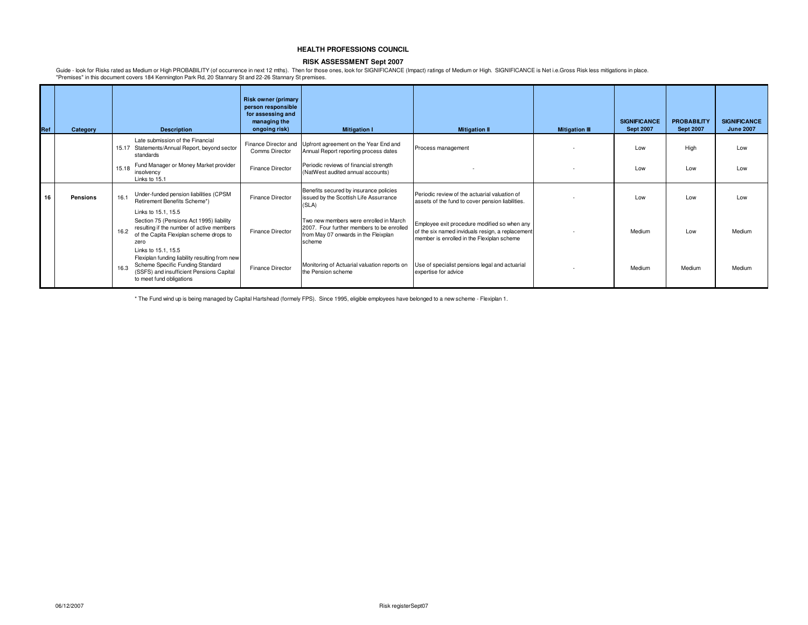### **RISK ASSESSMENT Sept 2007**

Guide - look for Risks rated as Medium or High PROBABILITY (of occurrence in next 12 mths). Then for those ones, look for SIGNIFICANCE (Impact) ratings of Medium or High. SIGNIFICANCE is Net i.e.Gross Risk less mitigations "Premises" in this document covers 184 Kennington Park Rd, 20 Stannary St and 22-26 Stannary St premises.

| Ref |    | Category |       | <b>Description</b>                                                                                                                                                                | <b>Risk owner (primary</b><br>person responsible<br>for assessing and<br>managing the<br>ongoing risk) | <b>Mitigation I</b>                                                                                                                   | <b>Mitigation II</b>                                                                                                                           | <b>Mitigation III</b> | <b>SIGNIFICANCE</b><br><b>Sept 2007</b> | <b>PROBABILITY</b><br><b>Sept 2007</b> | <b>SIGNIFICANCE</b><br><b>June 2007</b> |
|-----|----|----------|-------|-----------------------------------------------------------------------------------------------------------------------------------------------------------------------------------|--------------------------------------------------------------------------------------------------------|---------------------------------------------------------------------------------------------------------------------------------------|------------------------------------------------------------------------------------------------------------------------------------------------|-----------------------|-----------------------------------------|----------------------------------------|-----------------------------------------|
|     |    |          | 15.17 | Late submission of the Financial<br>Statements/Annual Report, beyond sector<br>standards                                                                                          | Comms Director                                                                                         | Finance Director and Upfront agreement on the Year End and<br>Annual Report reporting process dates                                   | Process management                                                                                                                             |                       | Low                                     | High                                   | Low                                     |
|     |    |          | 15.18 | Fund Manager or Money Market provider<br>insolvency<br>Links to 15.1                                                                                                              | <b>Finance Director</b>                                                                                | Periodic reviews of financial strength<br>(NatWest audited annual accounts)                                                           |                                                                                                                                                |                       | Low                                     | Low                                    | Low                                     |
|     | 16 | Pensions | 16.1  | Under-funded pension liabilities (CPSM<br>Retirement Benefits Scheme*)<br>Links to 15.1, 15.5                                                                                     | Finance Director                                                                                       | Benefits secured by insurance policies<br>issued by the Scottish Life Assurrance<br>(SLA)                                             | Periodic review of the actuarial valuation of<br>assets of the fund to cover pension liabilities.                                              |                       | Low                                     | Low                                    | Low                                     |
|     |    |          | 16.2  | Section 75 (Pensions Act 1995) liability<br>resulting if the number of active members<br>of the Capita Flexiplan scheme drops to<br>zero                                          | Finance Director                                                                                       | Two new members were enrolled in March<br>2007. Four further members to be enrolled<br>from May 07 onwards in the Fleixplan<br>scheme | Employee exit procedure modified so when any<br>of the six named inviduals resign, a replacement<br>member is enrolled in the Flexiplan scheme |                       | Medium                                  | Low                                    | Medium                                  |
|     |    |          | 16.3  | Links to 15.1, 15.5<br>Flexiplan funding liability resulting from new<br>Scheme Specific Funding Standard<br>(SSFS) and insufficient Pensions Capital<br>to meet fund obligations | Finance Director                                                                                       | Monitoring of Actuarial valuation reports on<br>the Pension scheme                                                                    | Use of specialist pensions legal and actuarial<br>expertise for advice                                                                         |                       | Medium                                  | Medium                                 | Medium                                  |

\* The Fund wind up is being managed by Capital Hartshead (formely FPS). Since 1995, eligible employees have belonged to a new scheme - Flexiplan 1.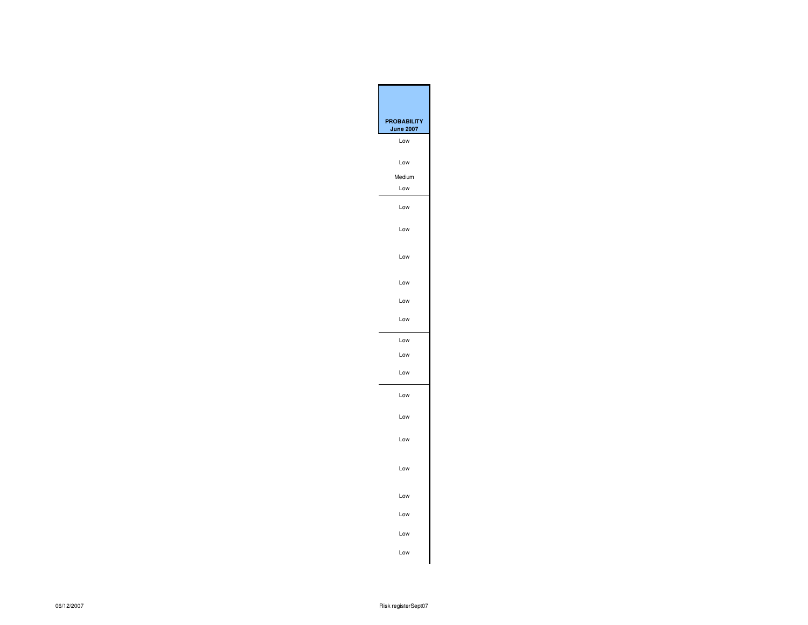| <b>PROBABILIT</b><br><b>June 2007</b> |
|---------------------------------------|
| Low                                   |
| Low                                   |
| Medium<br>Low                         |
|                                       |
| Low                                   |
| Low                                   |
| Low                                   |
| Low                                   |
| Low                                   |
| Low                                   |
| Low                                   |
| Low                                   |
| Low                                   |
| Low                                   |
| Low                                   |
| Low                                   |
| Low                                   |
| Low                                   |
| Low                                   |
| Low<br>Low                            |
|                                       |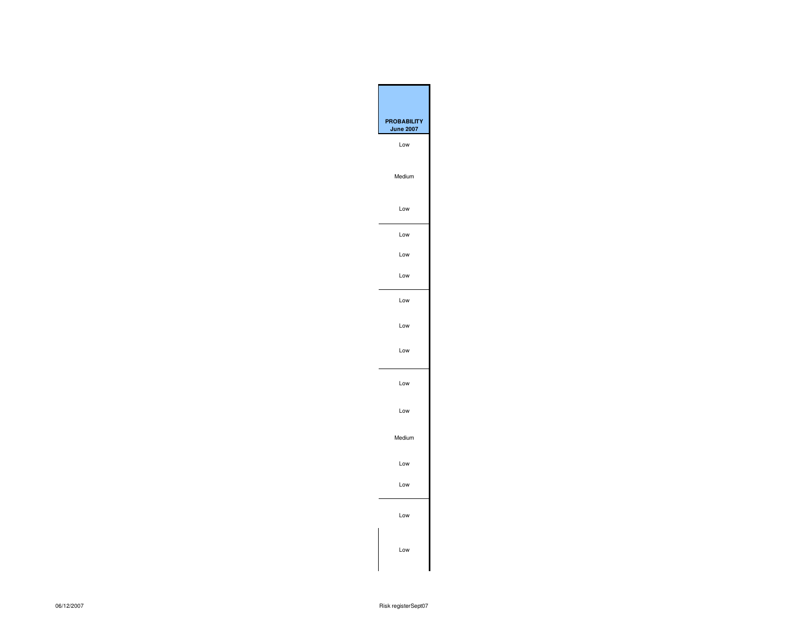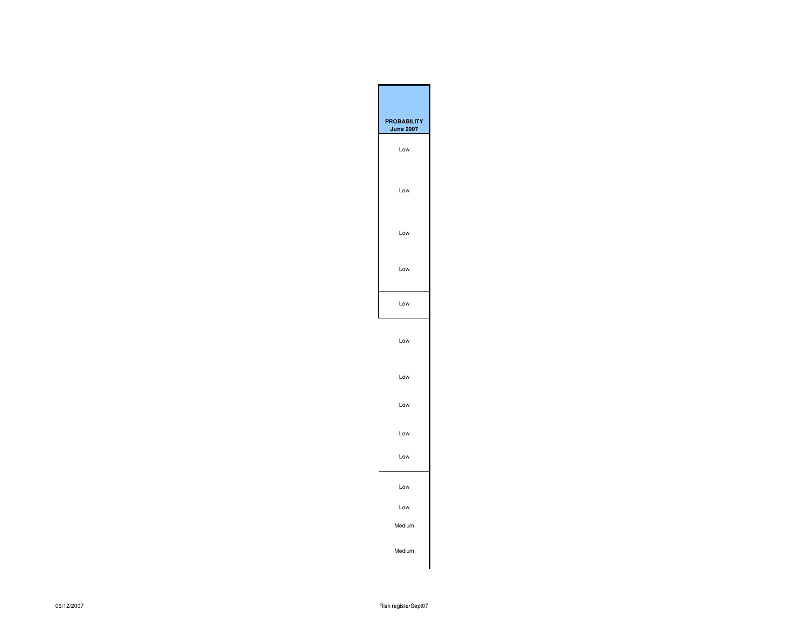| <b>PROBABILITY</b><br><b>June 2007</b> |
|----------------------------------------|
| Low                                    |
| Low                                    |
| Low                                    |
| Low                                    |
| Low                                    |
| Low                                    |
| Low                                    |
| Low                                    |
| Low                                    |
| Low                                    |
| Low                                    |
| Low                                    |
| Medium                                 |
| Medium                                 |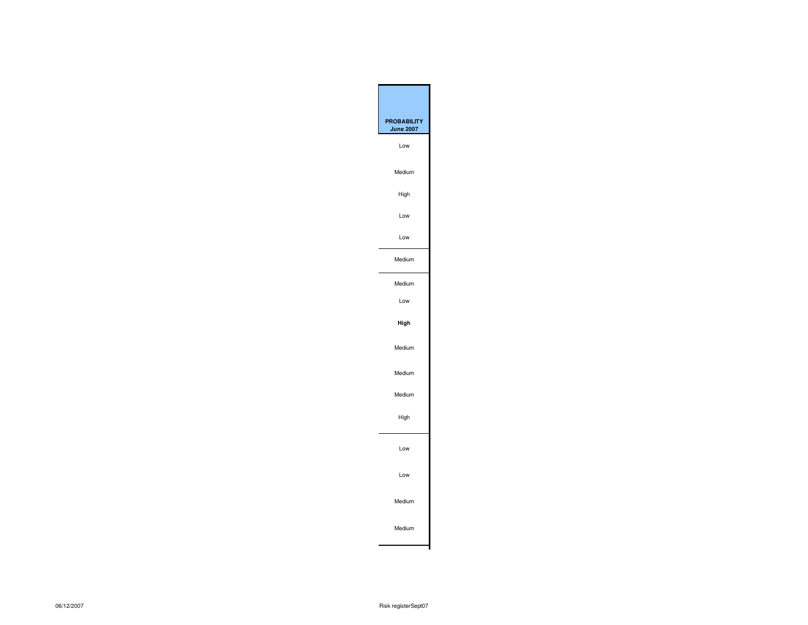| <b>PROBABILITY</b> |
|--------------------|
| <b>June 2007</b>   |
| Low                |
| Medium             |
| High               |
| Low                |
| Low                |
| Medium             |
| Medium             |
| Low                |
| High               |
| Medium             |
| Medium             |
| Medium             |
| High               |
| Low                |
| Low                |
| Medium             |
| Medium             |
|                    |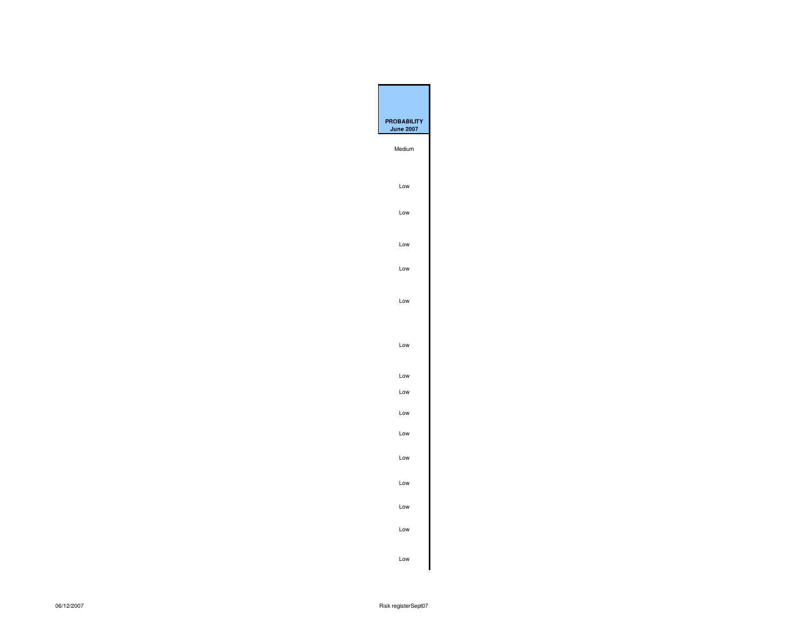